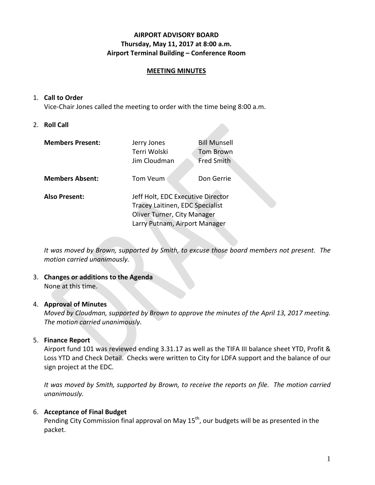### **AIRPORT ADVISORY BOARD Thursday, May 11, 2017 at 8:00 a.m. Airport Terminal Building – Conference Room**

#### **MEETING MINUTES**

#### 1. **Call to Order**

Vice-Chair Jones called the meeting to order with the time being 8:00 a.m.

#### 2. **Roll Call**

| <b>Members Present:</b> | Jerry Jones<br>Terri Wolski<br>Jim Cloudman                                                                                          | <b>Bill Munsell</b><br><b>Tom Brown</b><br><b>Fred Smith</b> |  |
|-------------------------|--------------------------------------------------------------------------------------------------------------------------------------|--------------------------------------------------------------|--|
| <b>Members Absent:</b>  | Tom Veum                                                                                                                             | Don Gerrie                                                   |  |
| <b>Also Present:</b>    | Jeff Holt, EDC Executive Director<br>Tracey Laitinen, EDC Specialist<br>Oliver Turner, City Manager<br>Larry Putnam, Airport Manager |                                                              |  |

*It was moved by Brown, supported by Smith, to excuse those board members not present. The motion carried unanimously.*

#### 3. **Changes or additions to the Agenda** None at this time.

### 4. **Approval of Minutes**

*Moved by Cloudman, supported by Brown to approve the minutes of the April 13, 2017 meeting. The motion carried unanimously.*

### 5. **Finance Report**

Airport fund 101 was reviewed ending 3.31.17 as well as the TIFA III balance sheet YTD, Profit & Loss YTD and Check Detail. Checks were written to City for LDFA support and the balance of our sign project at the EDC.

*It was moved by Smith, supported by Brown, to receive the reports on file. The motion carried unanimously.*

### 6. **Acceptance of Final Budget**

Pending City Commission final approval on May 15<sup>th</sup>, our budgets will be as presented in the packet.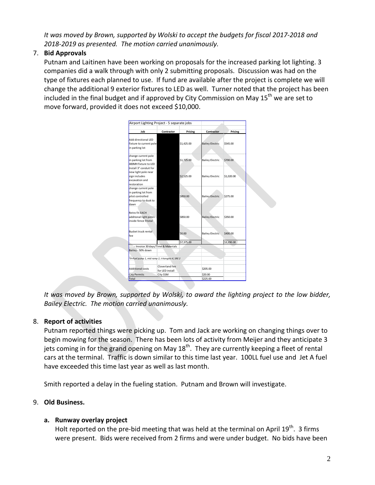*It was moved by Brown, supported by Wolski to accept the budgets for fiscal 2017-2018 and 2018-2019 as presented. The motion carried unanimously.* 

# 7. **Bid Approvals**

Putnam and Laitinen have been working on proposals for the increased parking lot lighting. 3 companies did a walk through with only 2 submitting proposals. Discussion was had on the type of fixtures each planned to use. If fund are available after the project is complete we will change the additional 9 exterior fixtures to LED as well. Turner noted that the project has been included in the final budget and if approved by City Commission on May  $15<sup>th</sup>$  we are set to move forward, provided it does not exceed \$10,000.

| Airport Lighting Project - 5 separate jobs     |                 |            |                        |            |
|------------------------------------------------|-----------------|------------|------------------------|------------|
| Job                                            | Contractor      | Pricing    | Contractor             | Pricing    |
|                                                |                 |            |                        |            |
| Add directional LFD                            |                 |            |                        |            |
| fixture to current pole                        |                 | \$1,425.00 | <b>Bailey Electric</b> | \$545.00   |
| in parking lot                                 |                 |            |                        |            |
| change current pole                            |                 |            |                        |            |
| in parking lot from                            |                 | \$1,725.00 | <b>Bailey Electric</b> | \$700.00   |
| 400MH fixture to LED                           |                 |            |                        |            |
| Install 3" conduit for                         |                 |            |                        |            |
| new light pole near                            |                 |            |                        |            |
| sign includes                                  |                 | \$2,525.00 | <b>Bailey Electric</b> | \$1,020.00 |
| excavation and                                 |                 |            |                        |            |
| restoration                                    |                 |            |                        |            |
| change current pole                            |                 |            |                        |            |
| in parking lot from                            |                 |            |                        |            |
| pilot controlled                               |                 | \$850.00   | <b>Bailey Electric</b> | \$275.00   |
| frequency to dusk to                           |                 |            |                        |            |
| dawn                                           |                 |            |                        |            |
|                                                |                 |            |                        |            |
| Retro fit EACH                                 |                 |            |                        |            |
| additonal light poles                          |                 | \$850.00   | <b>Bailey Electric</b> | \$350.00   |
| inside fence 9 total                           |                 |            |                        |            |
|                                                |                 |            |                        |            |
| Bucket truck rental                            |                 |            |                        |            |
| fee                                            |                 | \$0.00     | <b>Bailey Electric</b> | \$400.00   |
|                                                |                 | \$7,375.00 |                        | \$3,290.00 |
| - Invoice 30 days/Time & Materials             |                 |            |                        |            |
| Bailey - 50% down                              |                 |            |                        |            |
|                                                |                 |            |                        |            |
| *9=Fuel pump 1, mid ramp 2, t-hangars 4, SRE 2 |                 |            |                        |            |
|                                                |                 |            |                        |            |
|                                                | Cloverland fee  |            |                        |            |
| <b>Additional costs</b>                        | for LED install |            | \$205.00               |            |
| <b>City Permits</b>                            | City SSM        |            | \$20.00                |            |
| Total                                          |                 |            | \$225.00               |            |

*It was moved by Brown, supported by Wolski, to award the lighting project to the low bidder, Bailey Electric. The motion carried unanimously.*

## 8. **Report of activities**

Putnam reported things were picking up. Tom and Jack are working on changing things over to begin mowing for the season. There has been lots of activity from Meijer and they anticipate 3 jets coming in for the grand opening on May  $18<sup>th</sup>$ . They are currently keeping a fleet of rental cars at the terminal. Traffic is down similar to this time last year. 100LL fuel use and Jet A fuel have exceeded this time last year as well as last month.

Smith reported a delay in the fueling station. Putnam and Brown will investigate.

## 9. **Old Business.**

## **a. Runway overlay project**

Holt reported on the pre-bid meeting that was held at the terminal on April  $19^{th}$ . 3 firms were present. Bids were received from 2 firms and were under budget. No bids have been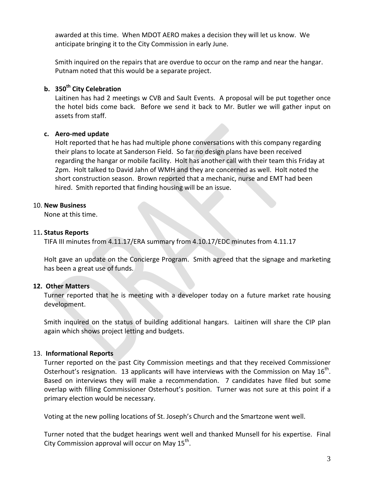awarded at this time. When MDOT AERO makes a decision they will let us know. We anticipate bringing it to the City Commission in early June.

Smith inquired on the repairs that are overdue to occur on the ramp and near the hangar. Putnam noted that this would be a separate project.

# **b. 350th City Celebration**

Laitinen has had 2 meetings w CVB and Sault Events. A proposal will be put together once the hotel bids come back. Before we send it back to Mr. Butler we will gather input on assets from staff.

### **c. Aero-med update**

Holt reported that he has had multiple phone conversations with this company regarding their plans to locate at Sanderson Field. So far no design plans have been received regarding the hangar or mobile facility. Holt has another call with their team this Friday at 2pm. Holt talked to David Jahn of WMH and they are concerned as well. Holt noted the short construction season. Brown reported that a mechanic, nurse and EMT had been hired. Smith reported that finding housing will be an issue.

### 10. **New Business**

None at this time.

### 11**. Status Reports**

TIFA III minutes from 4.11.17/ERA summary from 4.10.17/EDC minutes from 4.11.17

Holt gave an update on the Concierge Program. Smith agreed that the signage and marketing has been a great use of funds.

### **12. Other Matters**

Turner reported that he is meeting with a developer today on a future market rate housing development.

Smith inquired on the status of building additional hangars. Laitinen will share the CIP plan again which shows project letting and budgets.

### 13. **Informational Reports**

Turner reported on the past City Commission meetings and that they received Commissioner Osterhout's resignation. 13 applicants will have interviews with the Commission on May  $16<sup>th</sup>$ . Based on interviews they will make a recommendation. 7 candidates have filed but some overlap with filling Commissioner Osterhout's position. Turner was not sure at this point if a primary election would be necessary.

Voting at the new polling locations of St. Joseph's Church and the Smartzone went well.

Turner noted that the budget hearings went well and thanked Munsell for his expertise. Final City Commission approval will occur on May  $15<sup>th</sup>$ .